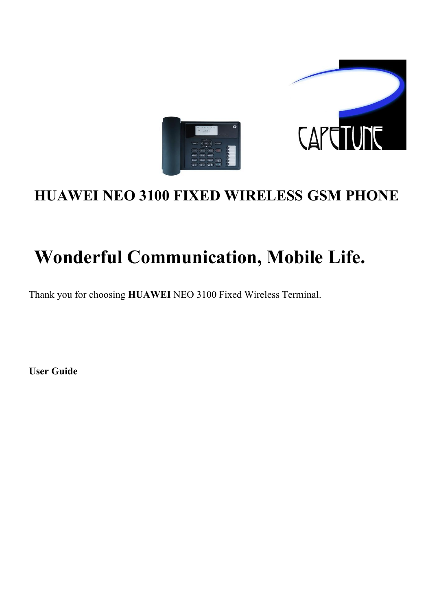

## **HUAWEI NEO 3100 FIXED WIRELESS GSM PHONE**

## **Wonderful Communication, Mobile Life.**

Thank you for choosing **HUAWEI** NEO 3100 Fixed Wireless Terminal.

**User Guide**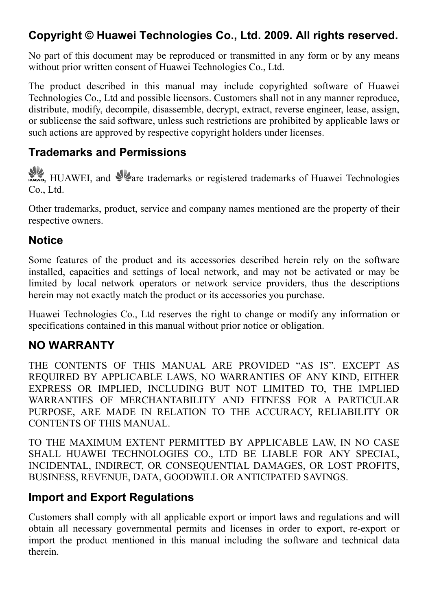## **Copyright © Huawei Technologies Co., Ltd. 2009. All rights reserved.**

No part of this document may be reproduced or transmitted in any form or by any means without prior written consent of Huawei Technologies Co., Ltd.

The product described in this manual may include copyrighted software of Huawei Technologies Co., Ltd and possible licensors. Customers shall not in any manner reproduce, distribute, modify, decompile, disassemble, decrypt, extract, reverse engineer, lease, assign, or sublicense the said software, unless such restrictions are prohibited by applicable laws or such actions are approved by respective copyright holders under licenses.

#### **Trademarks and Permissions**

HUAWEI, and *Ve*are trademarks or registered trademarks of Huawei Technologies Co., Ltd.

Other trademarks, product, service and company names mentioned are the property of their respective owners.

### **Notice**

Some features of the product and its accessories described herein rely on the software installed, capacities and settings of local network, and may not be activated or may be limited by local network operators or network service providers, thus the descriptions herein may not exactly match the product or its accessories you purchase.

Huawei Technologies Co., Ltd reserves the right to change or modify any information or specifications contained in this manual without prior notice or obligation.

#### **NO WARRANTY**

THE CONTENTS OF THIS MANUAL ARE PROVIDED "AS IS". EXCEPT AS REQUIRED BY APPLICABLE LAWS, NO WARRANTIES OF ANY KIND, EITHER EXPRESS OR IMPLIED, INCLUDING BUT NOT LIMITED TO, THE IMPLIED WARRANTIES OF MERCHANTABILITY AND FITNESS FOR A PARTICULAR PURPOSE, ARE MADE IN RELATION TO THE ACCURACY, RELIABILITY OR CONTENTS OF THIS MANUAL.

TO THE MAXIMUM EXTENT PERMITTED BY APPLICABLE LAW, IN NO CASE SHALL HUAWEI TECHNOLOGIES CO., LTD BE LIABLE FOR ANY SPECIAL, INCIDENTAL, INDIRECT, OR CONSEQUENTIAL DAMAGES, OR LOST PROFITS, BUSINESS, REVENUE, DATA, GOODWILL OR ANTICIPATED SAVINGS.

### **Import and Export Regulations**

Customers shall comply with all applicable export or import laws and regulations and will obtain all necessary governmental permits and licenses in order to export, re-export or import the product mentioned in this manual including the software and technical data therein.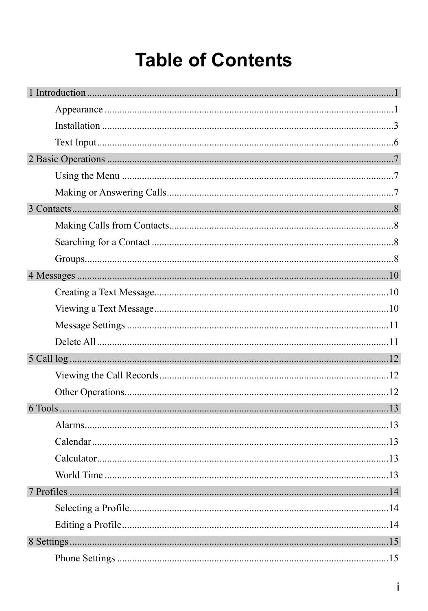## **Table of Contents**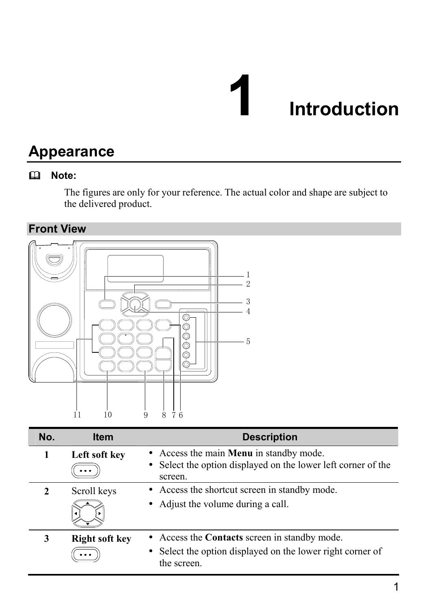## **1** Introduction

## **Appearance**

## **Note:**

The figures are only for your reference. The actual color and shape are subject to the delivered product.

**Front View** 



| No.           | <b>Item</b>           | <b>Description</b>                                                                                                         |
|---------------|-----------------------|----------------------------------------------------------------------------------------------------------------------------|
| 1             | Left soft key         | • Access the main <b>Menu</b> in standby mode.<br>• Select the option displayed on the lower left corner of the<br>screen. |
| $\mathcal{L}$ | Scroll keys           | • Access the shortcut screen in standby mode.<br>• Adjust the volume during a call.                                        |
| 3             | <b>Right soft key</b> | • Access the Contacts screen in standby mode.<br>Select the option displayed on the lower right corner of<br>the screen.   |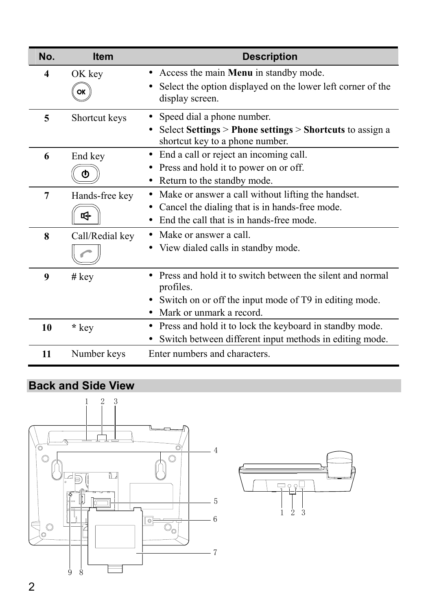| No.              | <b>Item</b>     | <b>Description</b>                                                                                       |
|------------------|-----------------|----------------------------------------------------------------------------------------------------------|
| $\boldsymbol{4}$ | OK key          | • Access the main <b>Menu</b> in standby mode.                                                           |
|                  | ОΚ              | Select the option displayed on the lower left corner of the<br>display screen.                           |
| 5                | Shortcut keys   | Speed dial a phone number.<br>$\bullet$                                                                  |
|                  |                 | Select Settings > Phone settings > Shortcuts to assign a<br>$\bullet$<br>shortcut key to a phone number. |
| 6                | End key         | • End a call or reject an incoming call.                                                                 |
|                  | m               | Press and hold it to power on or off.                                                                    |
|                  |                 | Return to the standby mode.<br>$\bullet$                                                                 |
| 7                | Hands-free key  | Make or answer a call without lifting the handset.                                                       |
|                  | ☞               | Cancel the dialing that is in hands-free mode.                                                           |
|                  |                 | End the call that is in hands-free mode.                                                                 |
| 8                | Call/Redial key | • Make or answer a call.                                                                                 |
|                  |                 | • View dialed calls in standby mode.                                                                     |
| 9                | $#$ key         | Press and hold it to switch between the silent and normal<br>profiles.                                   |
|                  |                 | Switch on or off the input mode of T9 in editing mode.                                                   |
|                  |                 | Mark or unmark a record.                                                                                 |
| 10               | * key           | Press and hold it to lock the keyboard in standby mode.                                                  |
|                  |                 | Switch between different input methods in editing mode.                                                  |
| 11               | Number keys     | Enter numbers and characters.                                                                            |

## **Back and Side View**



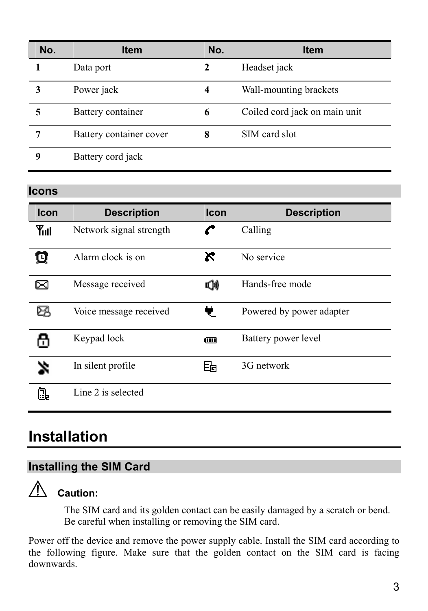| No. | <b>Item</b>             | No. | <b>Item</b>                   |
|-----|-------------------------|-----|-------------------------------|
|     | Data port               | 2   | Headset jack                  |
|     | Power jack              | 4   | Wall-mounting brackets        |
|     | Battery container       | 6   | Coiled cord jack on main unit |
|     | Battery container cover | 8   | SIM card slot                 |
|     | Battery cord jack       |     |                               |

#### **Icons**

| Icon | <b>Description</b>      | Icon | <b>Description</b>       |
|------|-------------------------|------|--------------------------|
| Yul  | Network signal strength |      | Calling                  |
| о    | Alarm clock is on       | ĸ    | No service               |
| ⊠    | Message received        | Φ    | Hands-free mode          |
| ≻    | Voice message received  |      | Powered by power adapter |
|      | Keypad lock             | Œ    | Battery power level      |
|      | In silent profile       | 的    | 3G network               |
|      | Line 2 is selected      |      |                          |

## **Installation**

## **Installing the SIM Card**



## **Caution:**

The SIM card and its golden contact can be easily damaged by a scratch or bend. Be careful when installing or removing the SIM card.

Power off the device and remove the power supply cable. Install the SIM card according to the following figure. Make sure that the golden contact on the SIM card is facing downwards.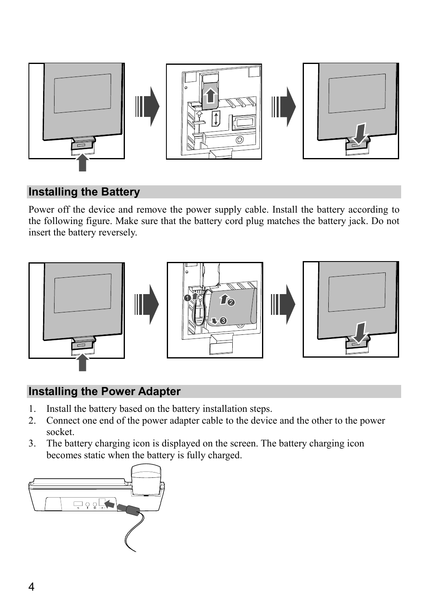

## **Installing the Battery**

Power off the device and remove the power supply cable. Install the battery according to the following figure. Make sure that the battery cord plug matches the battery jack. Do not insert the battery reversely.



## **Installing the Power Adapter**

- 1. Install the battery based on the battery installation steps.
- 2. Connect one end of the power adapter cable to the device and the other to the power socket.
- 3. The battery charging icon is displayed on the screen. The battery charging icon becomes static when the battery is fully charged.

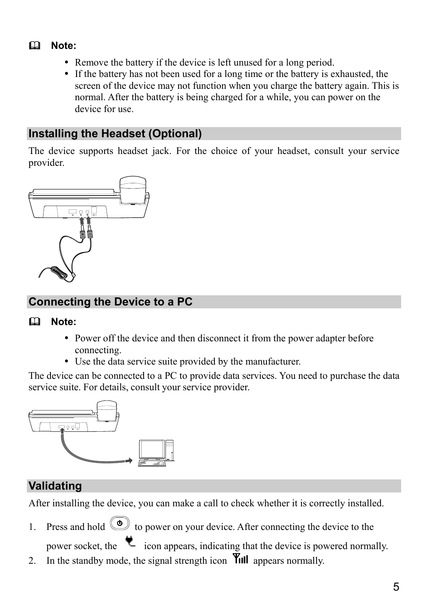## **Note:**

- Remove the battery if the device is left unused for a long period.
- If the battery has not been used for a long time or the battery is exhausted, the screen of the device may not function when you charge the battery again. This is normal. After the battery is being charged for a while, you can power on the device for use.

## **Installing the Headset (Optional)**

The device supports headset jack. For the choice of your headset, consult your service provider.



## **Connecting the Device to a PC**

#### **Note:**

- Power off the device and then disconnect it from the power adapter before connecting.
- Use the data service suite provided by the manufacturer.

The device can be connected to a PC to provide data services. You need to purchase the data service suite. For details, consult your service provider.



## **Validating**

After installing the device, you can make a call to check whether it is correctly installed.

1. Press and hold  $\circledcirc$  to power on your device. After connecting the device to the

power socket, the  $\bullet$  icon appears, indicating that the device is powered normally.

2. In the standby mode, the signal strength icon  $\overline{\mathsf{Y}}$ ull appears normally.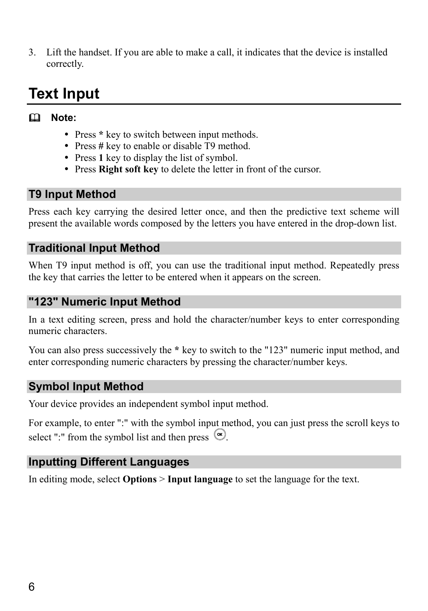3. Lift the handset. If you are able to make a call, it indicates that the device is installed correctly.

## **Text Input**

#### **Note:**

- Press \* key to switch between input methods.
- Press # key to enable or disable T9 method.
- Press 1 key to display the list of symbol.
- Press **Right soft key** to delete the letter in front of the cursor.

#### **T9 Input Method**

Press each key carrying the desired letter once, and then the predictive text scheme will present the available words composed by the letters you have entered in the drop-down list.

#### **Traditional Input Method**

When T9 input method is off, you can use the traditional input method. Repeatedly press the key that carries the letter to be entered when it appears on the screen.

#### **"123" Numeric Input Method**

In a text editing screen, press and hold the character/number keys to enter corresponding numeric characters.

You can also press successively the **\*** key to switch to the "123" numeric input method, and enter corresponding numeric characters by pressing the character/number keys.

#### **Symbol Input Method**

Your device provides an independent symbol input method.

For example, to enter ":" with the symbol input method, you can just press the scroll keys to select ":" from the symbol list and then press  $\circledcirc$ .

### **Inputting Different Languages**

In editing mode, select **Options** > **Input language** to set the language for the text.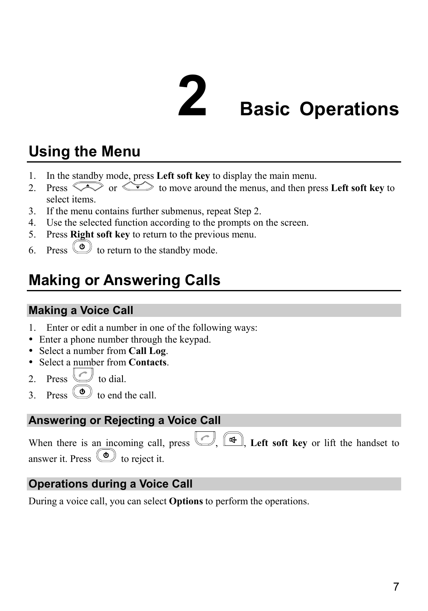## **2 Basic Operations**

## **Using the Menu**

- 1. In the standby mode, press **Left soft key** to display the main menu.
- 2. Press  $\sum$  or  $\sum$  to move around the menus, and then press **Left soft key** to select items.
- 3. If the menu contains further submenus, repeat Step 2.
- 4. Use the selected function according to the prompts on the screen.
- 5. Press **Right soft key** to return to the previous menu.
- 6. Press  $\circledcirc$  to return to the standby mode.

## **Making or Answering Calls**

## **Making a Voice Call**

- 1. Enter or edit a number in one of the following ways:
- Enter a phone number through the keypad.
- y Select a number from **Call Log**.
- y Select a number from **Contacts**.
- 2. Press  $\bigcup$  to dial.
- $\overline{3}$  Press  $\overline{3}$  to end the call.

## **Answering or Rejecting a Voice Call**

When there is an incoming call, press  $\Box$   $\Box$  **Left soft key** or lift the handset to answer it. Press  $\circledcirc$  to reject it.

## **Operations during a Voice Call**

During a voice call, you can select **Options** to perform the operations.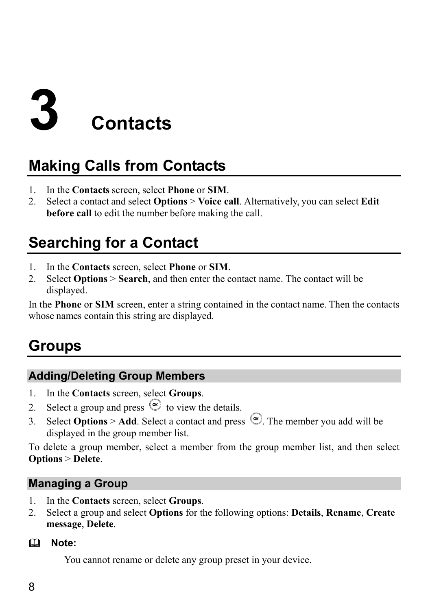## **3 Contacts**

## **Making Calls from Contacts**

- 1. In the **Contacts** screen, select **Phone** or **SIM**.
- 2. Select a contact and select **Options** > **Voice call**. Alternatively, you can select **Edit before call** to edit the number before making the call.

## **Searching for a Contact**

- 1. In the **Contacts** screen, select **Phone** or **SIM**.
- 2. Select **Options** > **Search**, and then enter the contact name. The contact will be displayed.

In the **Phone** or **SIM** screen, enter a string contained in the contact name. Then the contacts whose names contain this string are displayed.

## **Groups**

## **Adding/Deleting Group Members**

- 1. In the **Contacts** screen, select **Groups**.
- 2. Select a group and press  $\circledcirc$  to view the details.
- 3. Select **Options** > **Add**. Select a contact and press  $\heartsuit$ . The member you add will be displayed in the group member list.

To delete a group member, select a member from the group member list, and then select **Options** > **Delete**.

### **Managing a Group**

- 1. In the **Contacts** screen, select **Groups**.
- 2. Select a group and select **Options** for the following options: **Details**, **Rename**, **Create message**, **Delete**.

#### **Note:**

You cannot rename or delete any group preset in your device.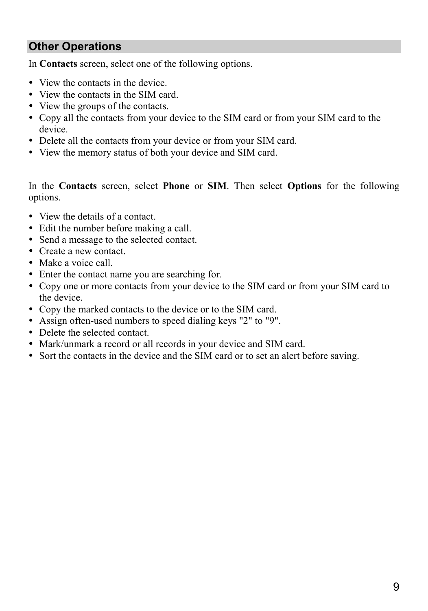#### **Other Operations**

In **Contacts** screen, select one of the following options.

- View the contacts in the device.
- View the contacts in the SIM card.
- View the groups of the contacts.
- Copy all the contacts from your device to the SIM card or from your SIM card to the device.
- Delete all the contacts from your device or from your SIM card.
- View the memory status of both your device and SIM card.

In the **Contacts** screen, select **Phone** or **SIM**. Then select **Options** for the following options.

- View the details of a contact.
- Edit the number before making a call.
- Send a message to the selected contact.
- Create a new contact.
- Make a voice call.
- Enter the contact name you are searching for.
- Copy one or more contacts from your device to the SIM card or from your SIM card to the device.
- Copy the marked contacts to the device or to the SIM card.
- Assign often-used numbers to speed dialing keys "2" to "9".
- Delete the selected contact.
- Mark/unmark a record or all records in your device and SIM card.
- Sort the contacts in the device and the SIM card or to set an alert before saving.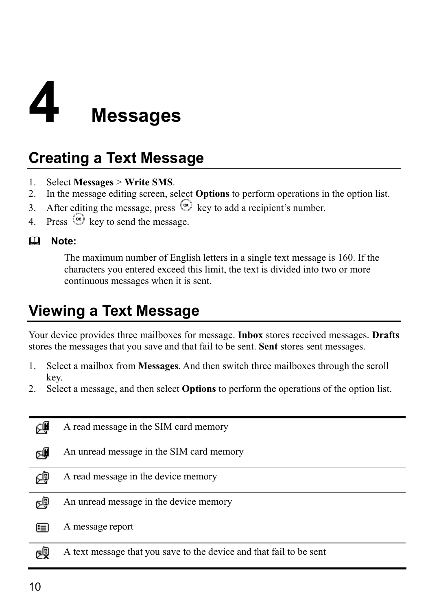## **4 Messages**

## **Creating a Text Message**

- 1. Select **Messages** > **Write SMS**.
- 2. In the message editing screen, select **Options** to perform operations in the option list.
- 3. After editing the message, press  $\circledcirc$  key to add a recipient's number.
- 4. Press  $\circledcirc$  key to send the message.

#### **Note:**

The maximum number of English letters in a single text message is 160. If the characters you entered exceed this limit, the text is divided into two or more continuous messages when it is sent.

## **Viewing a Text Message**

Your device provides three mailboxes for message. **Inbox** stores received messages. **Drafts** stores the messages that you save and that fail to be sent. **Sent** stores sent messages.

- 1. Select a mailbox from **Messages**. And then switch three mailboxes through the scroll key.
- 2. Select a message, and then select **Options** to perform the operations of the option list.

| @ع | A read message in the SIM card memory                               |
|----|---------------------------------------------------------------------|
| cŴ | An unread message in the SIM card memory                            |
| ∉  | A read message in the device memory                                 |
| c9 | An unread message in the device memory                              |
| ⊫  | A message report                                                    |
| σŞ | A text message that you save to the device and that fail to be sent |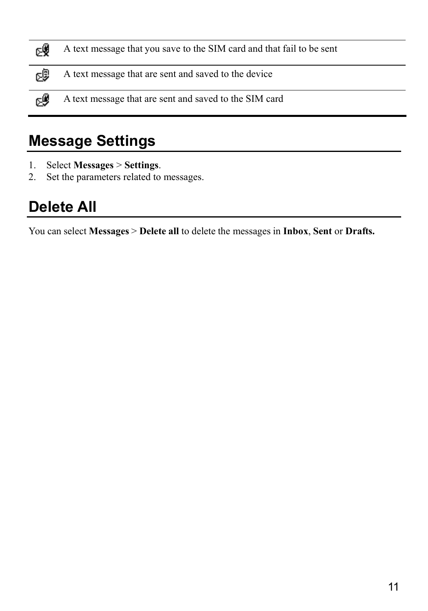| ρÿ | A text message that you save to the SIM card and that fail to be sent |
|----|-----------------------------------------------------------------------|
| 啰  | A text message that are sent and saved to the device                  |
| ⊳® | A text message that are sent and saved to the SIM card                |

## **Message Settings**

- 1. Select **Messages** > **Settings**.
- 2. Set the parameters related to messages.

## **Delete All**

You can select **Messages** > **Delete all** to delete the messages in **Inbox**, **Sent** or **Drafts.**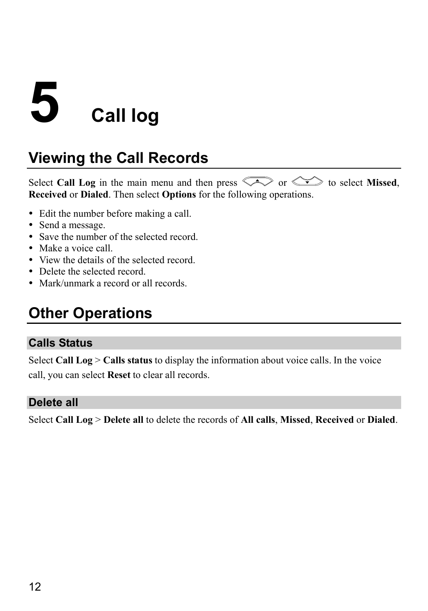## **5 Call log**

## **Viewing the Call Records**

Select **Call Log** in the main menu and then press  $\widehat{\triangle}$  or  $\widehat{\triangle}$  to select **Missed**. **Received** or **Dialed**. Then select **Options** for the following operations.

- Edit the number before making a call.
- Send a message.
- Save the number of the selected record.
- Make a voice call.
- View the details of the selected record.
- Delete the selected record.
- Mark/unmark a record or all records.

## **Other Operations**

#### **Calls Status**

Select **Call Log** > **Calls status** to display the information about voice calls. In the voice call, you can select **Reset** to clear all records.

#### **Delete all**

Select **Call Log** > **Delete all** to delete the records of **All calls**, **Missed**, **Received** or **Dialed**.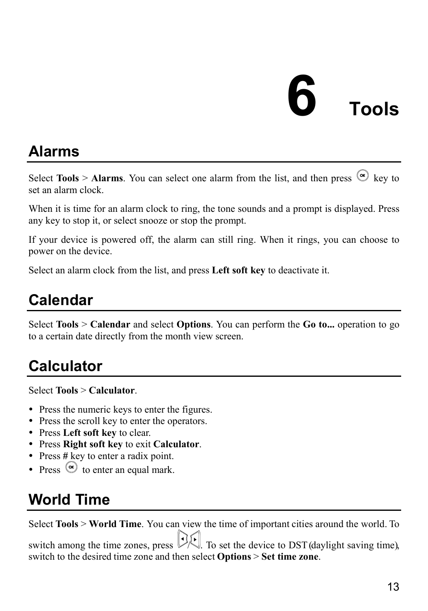## **6 Tools**

## **Alarms**

Select **Tools** > **Alarms**. You can select one alarm from the list, and then press  $\circledcirc$  key to set an alarm clock.

When it is time for an alarm clock to ring, the tone sounds and a prompt is displayed. Press any key to stop it, or select snooze or stop the prompt.

If your device is powered off, the alarm can still ring. When it rings, you can choose to power on the device.

Select an alarm clock from the list, and press **Left soft key** to deactivate it.

## **Calendar**

Select **Tools** > **Calendar** and select **Options**. You can perform the **Go to...** operation to go to a certain date directly from the month view screen.

## **Calculator**

Select **Tools** > **Calculator**.

- Press the numeric keys to enter the figures.
- Press the scroll key to enter the operators.
- Press **Left soft key** to clear.
- y Press **Right soft key** to exit **Calculator**.
- Press # key to enter a radix point.
- Press  $\odot$  to enter an equal mark.

## **World Time**

Select **Tools** > **World Time**. You can view the time of important cities around the world. To switch among the time zones, press  $\mathcal{V}$ . To set the device to DST (daylight saving time), switch to the desired time zone and then select **Options** > **Set time zone**.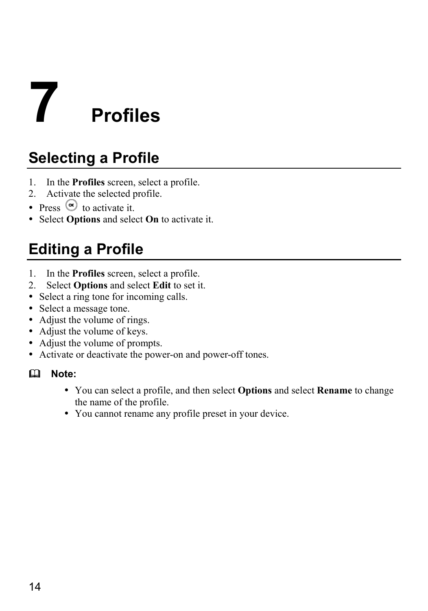# **7 Profiles**

## **Selecting a Profile**

- 1. In the **Profiles** screen, select a profile.
- 2. Activate the selected profile.
- Press  $\circledcirc$  to activate it.
- Select **Options** and select **On** to activate it.

## **Editing a Profile**

- 1. In the **Profiles** screen, select a profile.
- 2. Select **Options** and select **Edit** to set it.
- Select a ring tone for incoming calls.
- Select a message tone.
- Adjust the volume of rings.
- Adjust the volume of keys.
- Adjust the volume of prompts.
- Activate or deactivate the power-on and power-off tones.

#### **Note:**

- y You can select a profile, and then select **Options** and select **Rename** to change the name of the profile.
- You cannot rename any profile preset in your device.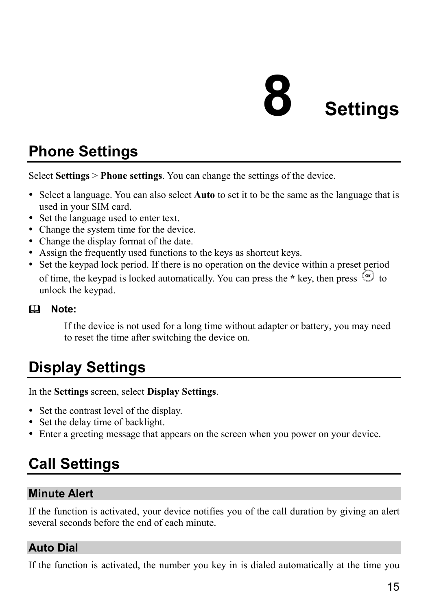## **8 Settings**

## **Phone Settings**

Select **Settings** > **Phone settings**. You can change the settings of the device.

- y Select a language. You can also select **Auto** to set it to be the same as the language that is used in your SIM card.
- Set the language used to enter text.
- Change the system time for the device.
- Change the display format of the date.
- Assign the frequently used functions to the keys as shortcut keys.
- Set the keypad lock period. If there is no operation on the device within a preset period of time, the keypad is locked automatically. You can press the  $*$  key, then press  $\circledcirc$  to unlock the keypad.

#### **Note:**

If the device is not used for a long time without adapter or battery, you may need to reset the time after switching the device on.

## **Display Settings**

In the **Settings** screen, select **Display Settings**.

- Set the contrast level of the display.
- Set the delay time of backlight.
- Enter a greeting message that appears on the screen when you power on your device.

## **Call Settings**

#### **Minute Alert**

If the function is activated, your device notifies you of the call duration by giving an alert several seconds before the end of each minute.

#### **Auto Dial**

If the function is activated, the number you key in is dialed automatically at the time you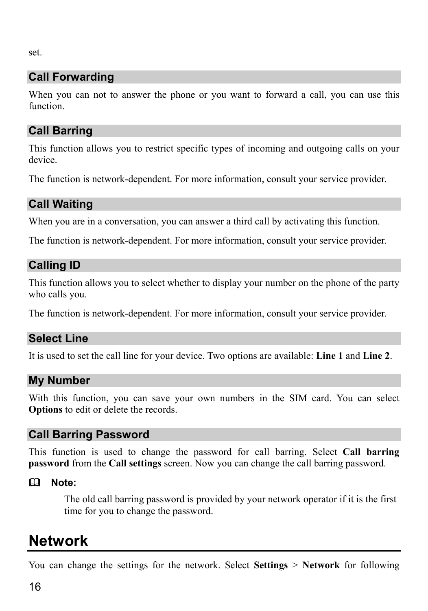set.

## **Call Forwarding**

When you can not to answer the phone or you want to forward a call, you can use this function.

### **Call Barring**

This function allows you to restrict specific types of incoming and outgoing calls on your device.

The function is network-dependent. For more information, consult your service provider.

## **Call Waiting**

When you are in a conversation, you can answer a third call by activating this function.

The function is network-dependent. For more information, consult your service provider.

### **Calling ID**

This function allows you to select whether to display your number on the phone of the party who calls you.

The function is network-dependent. For more information, consult your service provider.

### **Select Line**

It is used to set the call line for your device. Two options are available: **Line 1** and **Line 2**.

#### **My Number**

With this function, you can save your own numbers in the SIM card. You can select **Options** to edit or delete the records.

#### **Call Barring Password**

This function is used to change the password for call barring. Select **Call barring password** from the **Call settings** screen. Now you can change the call barring password.

#### **Note:**

The old call barring password is provided by your network operator if it is the first time for you to change the password.

## **Network**

You can change the settings for the network. Select **Settings** > **Network** for following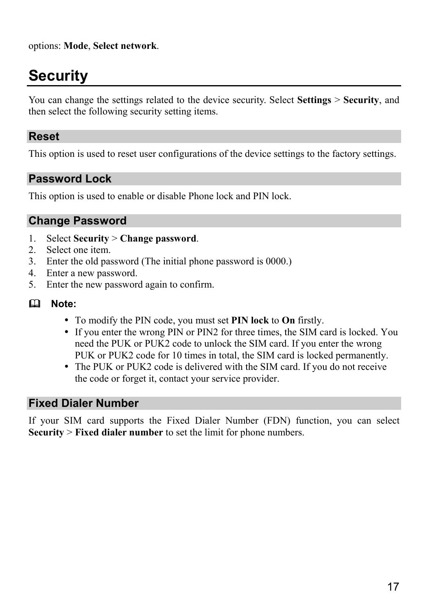options: **Mode**, **Select network**.

## **Security**

You can change the settings related to the device security. Select **Settings** > **Security**, and then select the following security setting items.

#### **Reset**

This option is used to reset user configurations of the device settings to the factory settings.

#### **Password Lock**

This option is used to enable or disable Phone lock and PIN lock.

#### **Change Password**

- 1. Select **Security** > **Change password**.
- 2. Select one item.
- 3. Enter the old password (The initial phone password is 0000.)
- 4. Enter a new password.
- 5. Enter the new password again to confirm.
- **Note:** 
	- y To modify the PIN code, you must set **PIN lock** to **On** firstly.
	- If you enter the wrong PIN or PIN2 for three times, the SIM card is locked. You need the PUK or PUK2 code to unlock the SIM card. If you enter the wrong PUK or PUK2 code for 10 times in total, the SIM card is locked permanently.
	- The PUK or PUK2 code is delivered with the SIM card. If you do not receive the code or forget it, contact your service provider.

#### **Fixed Dialer Number**

If your SIM card supports the Fixed Dialer Number (FDN) function, you can select **Security** > **Fixed dialer number** to set the limit for phone numbers.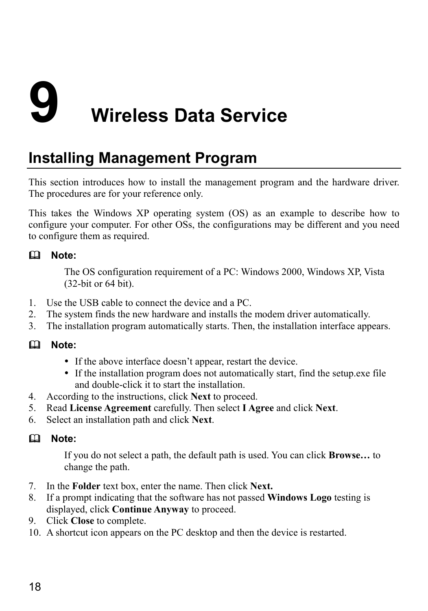# **9 Wireless Data Service**

## **Installing Management Program**

This section introduces how to install the management program and the hardware driver. The procedures are for your reference only.

This takes the Windows XP operating system (OS) as an example to describe how to configure your computer. For other OSs, the configurations may be different and you need to configure them as required.

#### **Note:**

The OS configuration requirement of a PC: Windows 2000, Windows XP, Vista (32-bit or 64 bit).

- 1. Use the USB cable to connect the device and a PC.
- 2. The system finds the new hardware and installs the modem driver automatically.
- 3. The installation program automatically starts. Then, the installation interface appears.

#### **Note:**

- If the above interface doesn't appear, restart the device.
- If the installation program does not automatically start, find the setup.exe file and double-click it to start the installation.
- 4. According to the instructions, click **Next** to proceed.
- 5. Read **License Agreement** carefully. Then select **I Agree** and click **Next**.
- 6. Select an installation path and click **Next**.

#### **Note:**

If you do not select a path, the default path is used. You can click **Browse…** to change the path.

- 7. In the **Folder** text box, enter the name. Then click **Next.**
- 8. If a prompt indicating that the software has not passed **Windows Logo** testing is displayed, click **Continue Anyway** to proceed.
- 9. Click **Close** to complete.
- 10. A shortcut icon appears on the PC desktop and then the device is restarted.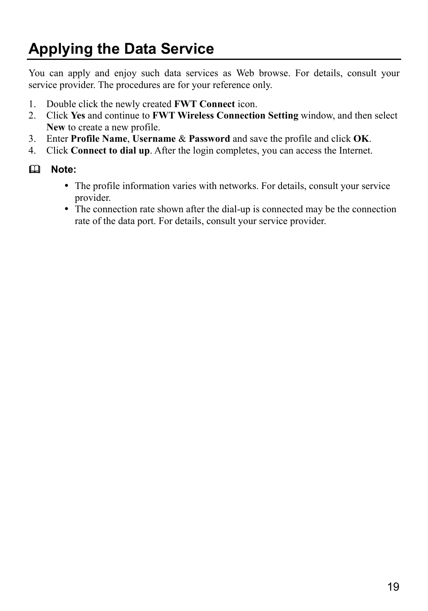## **Applying the Data Service**

You can apply and enjoy such data services as Web browse. For details, consult your service provider. The procedures are for your reference only.

- 1. Double click the newly created **FWT Connect** icon.
- 2. Click **Yes** and continue to **FWT Wireless Connection Setting** window, and then select **New** to create a new profile.
- 3. Enter **Profile Name**, **Username** & **Password** and save the profile and click **OK**.
- 4. Click **Connect to dial up**. After the login completes, you can access the Internet.

#### **Note:**

- The profile information varies with networks. For details, consult your service provider.
- The connection rate shown after the dial-up is connected may be the connection rate of the data port. For details, consult your service provider.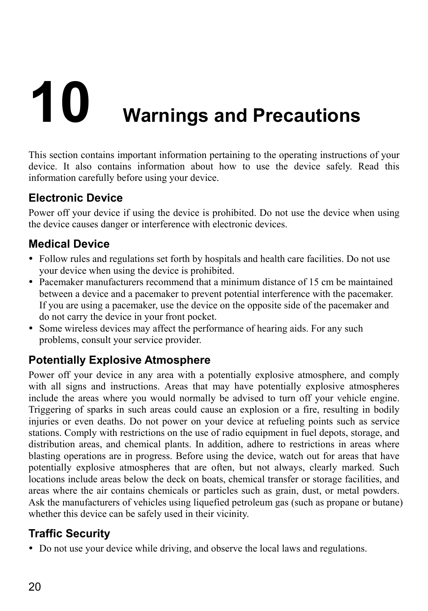# **10 Warnings and Precautions**

This section contains important information pertaining to the operating instructions of your device. It also contains information about how to use the device safely. Read this information carefully before using your device.

### **Electronic Device**

Power off your device if using the device is prohibited. Do not use the device when using the device causes danger or interference with electronic devices.

## **Medical Device**

- Follow rules and regulations set forth by hospitals and health care facilities. Do not use your device when using the device is prohibited.
- y Pacemaker manufacturers recommend that a minimum distance of 15 cm be maintained between a device and a pacemaker to prevent potential interference with the pacemaker. If you are using a pacemaker, use the device on the opposite side of the pacemaker and do not carry the device in your front pocket.
- Some wireless devices may affect the performance of hearing aids. For any such problems, consult your service provider.

## **Potentially Explosive Atmosphere**

Power off your device in any area with a potentially explosive atmosphere, and comply with all signs and instructions. Areas that may have potentially explosive atmospheres include the areas where you would normally be advised to turn off your vehicle engine. Triggering of sparks in such areas could cause an explosion or a fire, resulting in bodily injuries or even deaths. Do not power on your device at refueling points such as service stations. Comply with restrictions on the use of radio equipment in fuel depots, storage, and distribution areas, and chemical plants. In addition, adhere to restrictions in areas where blasting operations are in progress. Before using the device, watch out for areas that have potentially explosive atmospheres that are often, but not always, clearly marked. Such locations include areas below the deck on boats, chemical transfer or storage facilities, and areas where the air contains chemicals or particles such as grain, dust, or metal powders. Ask the manufacturers of vehicles using liquefied petroleum gas (such as propane or butane) whether this device can be safely used in their vicinity.

## **Traffic Security**

• Do not use your device while driving, and observe the local laws and regulations.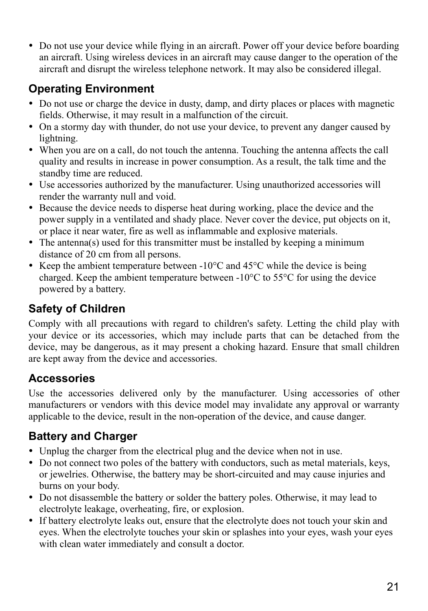• Do not use your device while flying in an aircraft. Power off your device before boarding an aircraft. Using wireless devices in an aircraft may cause danger to the operation of the aircraft and disrupt the wireless telephone network. It may also be considered illegal.

## **Operating Environment**

- Do not use or charge the device in dusty, damp, and dirty places or places with magnetic fields. Otherwise, it may result in a malfunction of the circuit.
- On a stormy day with thunder, do not use your device, to prevent any danger caused by lightning.
- y When you are on a call, do not touch the antenna. Touching the antenna affects the call quality and results in increase in power consumption. As a result, the talk time and the standby time are reduced.
- Use accessories authorized by the manufacturer. Using unauthorized accessories will render the warranty null and void.
- Because the device needs to disperse heat during working, place the device and the power supply in a ventilated and shady place. Never cover the device, put objects on it, or place it near water, fire as well as inflammable and explosive materials.
- $\bullet$  The antenna(s) used for this transmitter must be installed by keeping a minimum distance of 20 cm from all persons.
- Keep the ambient temperature between  $-10^{\circ}$ C and  $45^{\circ}$ C while the device is being charged. Keep the ambient temperature between -10°C to 55°C for using the device powered by a battery.

## **Safety of Children**

Comply with all precautions with regard to children's safety. Letting the child play with your device or its accessories, which may include parts that can be detached from the device, may be dangerous, as it may present a choking hazard. Ensure that small children are kept away from the device and accessories.

## **Accessories**

Use the accessories delivered only by the manufacturer. Using accessories of other manufacturers or vendors with this device model may invalidate any approval or warranty applicable to the device, result in the non-operation of the device, and cause danger.

## **Battery and Charger**

- Unplug the charger from the electrical plug and the device when not in use.
- Do not connect two poles of the battery with conductors, such as metal materials, keys, or jewelries. Otherwise, the battery may be short-circuited and may cause injuries and burns on your body.
- Do not disassemble the battery or solder the battery poles. Otherwise, it may lead to electrolyte leakage, overheating, fire, or explosion.
- If battery electrolyte leaks out, ensure that the electrolyte does not touch your skin and eyes. When the electrolyte touches your skin or splashes into your eyes, wash your eyes with clean water immediately and consult a doctor.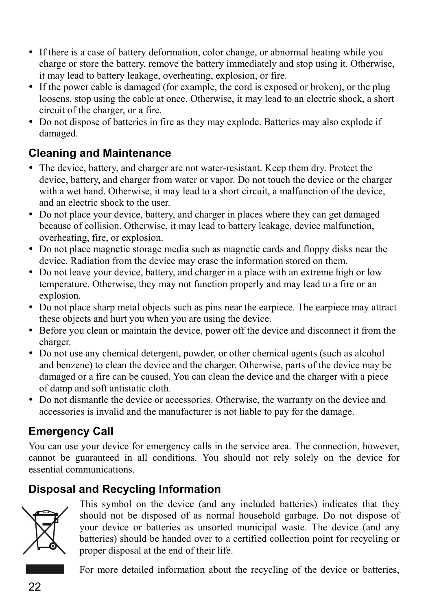- If there is a case of battery deformation, color change, or abnormal heating while you charge or store the battery, remove the battery immediately and stop using it. Otherwise, it may lead to battery leakage, overheating, explosion, or fire.
- If the power cable is damaged (for example, the cord is exposed or broken), or the plug loosens, stop using the cable at once. Otherwise, it may lead to an electric shock, a short circuit of the charger, or a fire.
- Do not dispose of batteries in fire as they may explode. Batteries may also explode if damaged.

## **Cleaning and Maintenance**

- The device, battery, and charger are not water-resistant. Keep them dry. Protect the device, battery, and charger from water or vapor. Do not touch the device or the charger with a wet hand. Otherwise, it may lead to a short circuit, a malfunction of the device, and an electric shock to the user.
- Do not place your device, battery, and charger in places where they can get damaged because of collision. Otherwise, it may lead to battery leakage, device malfunction, overheating, fire, or explosion.
- Do not place magnetic storage media such as magnetic cards and floppy disks near the device. Radiation from the device may erase the information stored on them.
- Do not leave your device, battery, and charger in a place with an extreme high or low temperature. Otherwise, they may not function properly and may lead to a fire or an explosion.
- Do not place sharp metal objects such as pins near the earpiece. The earpiece may attract these objects and hurt you when you are using the device.
- y Before you clean or maintain the device, power off the device and disconnect it from the charger.
- Do not use any chemical detergent, powder, or other chemical agents (such as alcohol and benzene) to clean the device and the charger. Otherwise, parts of the device may be damaged or a fire can be caused. You can clean the device and the charger with a piece of damp and soft antistatic cloth.
- Do not dismantle the device or accessories. Otherwise, the warranty on the device and accessories is invalid and the manufacturer is not liable to pay for the damage.

## **Emergency Call**

You can use your device for emergency calls in the service area. The connection, however, cannot be guaranteed in all conditions. You should not rely solely on the device for essential communications.

## **Disposal and Recycling Information**



This symbol on the device (and any included batteries) indicates that they should not be disposed of as normal household garbage. Do not dispose of your device or batteries as unsorted municipal waste. The device (and any batteries) should be handed over to a certified collection point for recycling or proper disposal at the end of their life.

For more detailed information about the recycling of the device or batteries,